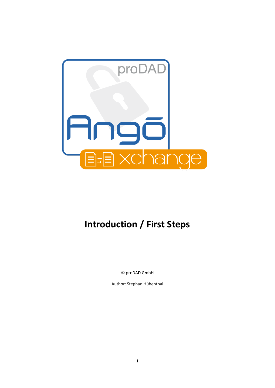

# **Introduction / First Steps**

© proDAD GmbH

Author: Stephan Hübenthal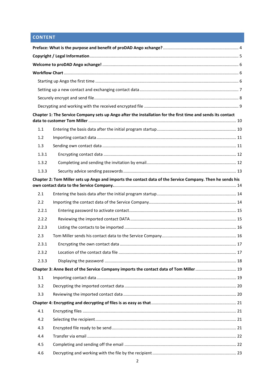# **CONTENT**

|       | Chapter 1: The Service Company sets up Ango after the installation for the first time and sends its contact |  |
|-------|-------------------------------------------------------------------------------------------------------------|--|
|       |                                                                                                             |  |
| 1.1   |                                                                                                             |  |
| 1.2   |                                                                                                             |  |
| 1.3   |                                                                                                             |  |
| 1.3.1 |                                                                                                             |  |
| 1.3.2 |                                                                                                             |  |
| 1.3.3 |                                                                                                             |  |
|       | Chapter 2: Tom Miller sets up Ango and imports the contact data of the Service Company. Then he sends his   |  |
| 2.1   |                                                                                                             |  |
| 2.2   |                                                                                                             |  |
| 2.2.1 |                                                                                                             |  |
| 2.2.2 |                                                                                                             |  |
| 2.2.3 |                                                                                                             |  |
| 2.3   |                                                                                                             |  |
| 2.3.1 |                                                                                                             |  |
| 2.3.2 |                                                                                                             |  |
| 2.3.3 |                                                                                                             |  |
|       | Chapter 3: Anne Best of the Service Company imports the contact data of Tom Miller  19                      |  |
| 3.1   |                                                                                                             |  |
| 3.2   |                                                                                                             |  |
| 3.3   |                                                                                                             |  |
|       |                                                                                                             |  |
| 4.1   |                                                                                                             |  |
| 4.2   |                                                                                                             |  |
| 4.3   |                                                                                                             |  |
| 4.4   |                                                                                                             |  |
| 4.5   |                                                                                                             |  |
| 4.6   |                                                                                                             |  |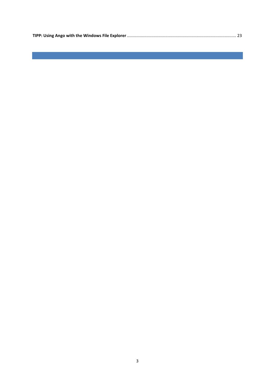|--|

3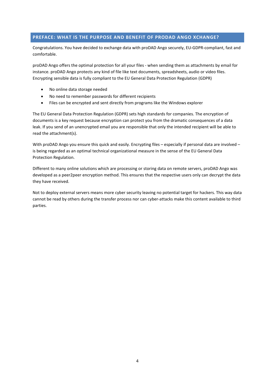# <span id="page-3-0"></span>**PREFACE: WHAT IS THE PURPOSE AND BENEFIT OF PRODAD ANGO XCHANGE?**

Congratulations. You have decided to exchange data with proDAD Ango securely, EU-GDPR-compliant, fast and comfortable.

proDAD Ango offers the optimal protection for all your files - when sending them as attachments by email for instance. proDAD Ango protects any kind of file like text documents, spreadsheets, audio or video files. Encrypting sensible data is fully compliant to the EU General Data Protection Regulation (GDPR)

- No online data storage needed
- No need to remember passwords for different recipients
- Files can be encrypted and sent directly from programs like the Windows explorer

The EU General Data Protection Regulation (GDPR) sets high standards for companies. The encryption of documents is a key request because encryption can protect you from the dramatic consequences of a data leak. If you send of an unencrypted email you are responsible that only the intended recipient will be able to read the attachment(s).

With proDAD Ango you ensure this quick and easily. Encrypting files – especially if personal data are involved – is being regarded as an optimal technical organizational measure in the sense of the EU General Data Protection Regulation.

Different to many online solutions which are processing or storing data on remote servers, proDAD Ango was developed as a peer2peer encryption method. This ensures that the respective users only can decrypt the data they have received.

Not to deploy external servers means more cyber security leaving no potential target for hackers. This way data cannot be read by others during the transfer process nor can cyber-attacks make this content available to third parties.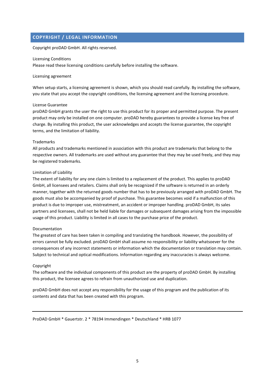# <span id="page-4-0"></span>**COPYRIGHT / LEGAL INFORMATION**

Copyright proDAD GmbH. All rights reserved.

#### Licensing Conditions

Please read these licensing conditions carefully before installing the software.

#### Licensing agreement

When setup starts, a licensing agreement is shown, which you should read carefully. By installing the software, you state that you accept the copyright conditions, the licensing agreement and the licensing procedure.

#### License Guarantee

proDAD GmbH grants the user the right to use this product for its proper and permitted purpose. The present product may only be installed on one computer. proDAD hereby guarantees to provide a license key free of charge. By installing this product, the user acknowledges and accepts the license guarantee, the copyright terms, and the limitation of liability.

#### Trademarks

All products and trademarks mentioned in association with this product are trademarks that belong to the respective owners. All trademarks are used without any guarantee that they may be used freely, and they may be registered trademarks.

#### Limitation of Liability

The extent of liability for any one claim is limited to a replacement of the product. This applies to proDAD GmbH, all licensees and retailers. Claims shall only be recognized if the software is returned in an orderly manner, together with the returned goods number that has to be previously arranged with proDAD GmbH. The goods must also be accompanied by proof of purchase. This guarantee becomes void if a malfunction of this product is due to improper use, mistreatment, an accident or improper handling. proDAD GmbH, its sales partners and licensees, shall not be held liable for damages or subsequent damages arising from the impossible usage of this product. Liability is limited in all cases to the purchase price of the product.

#### Documentation

The greatest of care has been taken in compiling and translating the handbook. However, the possibility of errors cannot be fully excluded. proDAD GmbH shall assume no responsibility or liability whatsoever for the consequences of any incorrect statements or information which the documentation or translation may contain. Subject to technical and optical modifications. Information regarding any inaccuracies is always welcome.

#### Copyright

The software and the individual components of this product are the property of proDAD GmbH. By installing this product, the licensee agrees to refrain from unauthorized use and duplication.

proDAD GmbH does not accept any responsibility for the usage of this program and the publication of its contents and data that has been created with this program.

ProDAD GmbH \* Gauertstr. 2 \* 78194 Immendingen \* Deutschland \* HRB 1077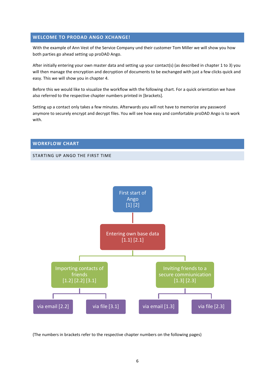#### <span id="page-5-0"></span>**WELCOME TO PRODAD ANGO XCHANGE!**

With the example of Ann Vest of the Service Company und their customer Tom Miller we will show you how both parties go ahead setting up proDAD Ango.

After initially entering your own master data and setting up your contact(s) (as described in chapter 1 to 3) you will then manage the encryption and decryption of documents to be exchanged with just a few clicks quick and easy. This we will show you in chapter 4.

Before this we would like to visualize the workflow with the following chart. For a quick orientation we have also referred to the respective chapter numbers printed in [brackets].

Setting up a contact only takes a few minutes. Afterwards you will not have to memorize any password anymore to securely encrypt and decrypt files. You will see how easy and comfortable proDAD Ango is to work with.

#### <span id="page-5-1"></span>**WORKFLOW CHART**

#### <span id="page-5-2"></span>STARTING UP ANGO THE FIRST TIME



(The numbers in brackets refer to the respective chapter numbers on the following pages)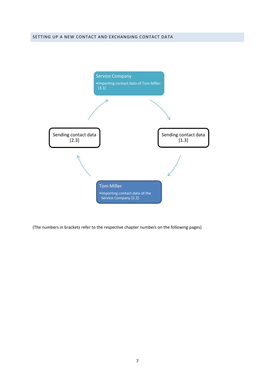<span id="page-6-0"></span>

(The numbers in brackets refer to the respective chapter numbers on the following pages)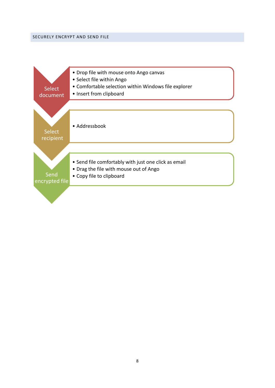<span id="page-7-0"></span>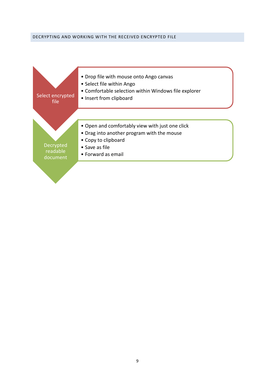#### <span id="page-8-0"></span>DECRYPTING AND WORKING WITH THE RECEIVED ENCRYPTED FILE

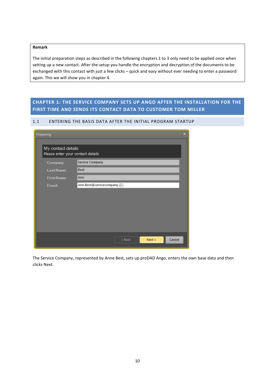#### **Remark**

The initial preparation steps as described in the following chapters 1 to 3 only need to be applied once when setting up a new contact. After the setup you handle the encryption and decryption of the documents to be exchanged with this contact with just a few clicks – quick and easy without ever needing to enter a password again. This we will show you in chapter 4.

# <span id="page-9-0"></span>**CHAPTER 1: THE SERVICE COMPANY SETS UP ANGO AFTER THE INSTALLATION FOR THE FIRST TIME AND SENDS ITS CONTACT DATA TO CUSTOMER TOM MILLER**

#### <span id="page-9-1"></span>1.1 ENTERING THE BASIS DATA AFTER THE INITIAL PROGRAM STARTUP

| Preparing |                                                         |                            | $\overline{\mathbf{x}}$ |  |  |  |  |  |
|-----------|---------------------------------------------------------|----------------------------|-------------------------|--|--|--|--|--|
|           | My contact details<br>Please enter your contact details |                            |                         |  |  |  |  |  |
|           | Company:                                                | <b>Service Company</b>     |                         |  |  |  |  |  |
|           | Last Name:                                              | <b>Best</b>                |                         |  |  |  |  |  |
|           | <b>First Name:</b>                                      | Ann                        |                         |  |  |  |  |  |
|           | Email:                                                  | Ann.Best@servicecompany    |                         |  |  |  |  |  |
|           |                                                         |                            |                         |  |  |  |  |  |
|           |                                                         |                            |                         |  |  |  |  |  |
|           |                                                         |                            |                         |  |  |  |  |  |
|           |                                                         |                            |                         |  |  |  |  |  |
|           |                                                         |                            |                         |  |  |  |  |  |
|           |                                                         | Next »<br>Cancel<br>« Back |                         |  |  |  |  |  |

The Service Company, represented by Anne Best, sets up proDAD Ango, enters the own base data and then clicks Next.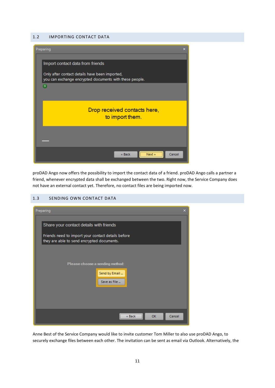#### <span id="page-10-0"></span>1.2 IMPORTING CONTACT DATA



proDAD Ango now offers the possibility to import the contact data of a friend. proDAD Ango calls a partner a friend, whenever encrypted data shall be exchanged between the two. Right now, the Service Company does not have an external contact yet. Therefore, no contact files are being imported now.

#### <span id="page-10-1"></span>1.3 SENDING OWN CONTACT DATA

| Preparing<br>$\mathbf x$                                                                                                                    |
|---------------------------------------------------------------------------------------------------------------------------------------------|
| Share your contact details with friends<br>Friends need to import your contact details before<br>they are able to send encrypted documents. |
| Please choose a sending method:<br>Send by Email<br>Save as File                                                                            |
| <br>Cancel<br><b>OK</b><br>« Back<br>:                                                                                                      |

Anne Best of the Service Company would like to invite customer Tom Miller to also use proDAD Ango, to securely exchange files between each other. The invitation can be sent as email via Outlook. Alternatively, the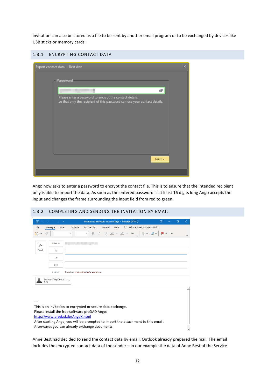invitation can also be stored as a file to be sent by another email program or to be exchanged by devices like USB sticks or memory cards.

# <span id="page-11-0"></span>1.3.1 ENCRYPTING CONTACT DATA  $\overline{\mathbf{x}}$ Export contact data -- Best Ann Password ×, 卣 -<br>Please enter a password to encrypt the contact details<br>so that only the recipient of this password can use your contact details. Next »

Ango now asks to enter a password to encrypt the contact file. This is to ensure that the intended recipient only is able to import the data. As soon as the entered password is at least 16 digits long Ango accepts the input and changes the frame surrounding the input field from red to green.

### <span id="page-11-1"></span>1.3.2 COMPLETING AND SENDING THE INVITATION BY EMAIL

| $\boxplus$<br>Invitation to encrypted data exchange - Message (HTML)<br>Ψ                                                                                                                            | 囨            | $\times$<br>п            |
|------------------------------------------------------------------------------------------------------------------------------------------------------------------------------------------------------|--------------|--------------------------|
| File<br>Options<br>Review<br>$\Omega$<br>Tell me what you want to do<br>Format Text<br>Help<br>Insert<br>Message                                                                                     |              |                          |
| $I \quad \underline{\mathsf{U}} \quad \underline{\mathsf{Z}} \ \lor \ \underline{\mathsf{A}} \ \lor \ \cdots$<br>$\mathbb{I} \times \mathbb{Z} \times \mathbb{I}$<br>B<br>$\searrow$<br>$\checkmark$ | $\mathbf{H}$ | $\checkmark$             |
| From $\vee$<br>$\Rightarrow$                                                                                                                                                                         |              |                          |
| Send<br>To                                                                                                                                                                                           |              |                          |
| Cc                                                                                                                                                                                                   |              |                          |
| Bcc                                                                                                                                                                                                  |              |                          |
| Subject<br>Invitation to encrypted data exchange                                                                                                                                                     |              |                          |
| Best Ann.AngoContact<br>3 KB                                                                                                                                                                         |              |                          |
|                                                                                                                                                                                                      |              |                          |
|                                                                                                                                                                                                      |              |                          |
| This is an invitation to encrypted or secure data exchange.                                                                                                                                          |              |                          |
| Please install the free software proDAD Ango:                                                                                                                                                        |              |                          |
| http://www.prodad.de/AngoX.html                                                                                                                                                                      |              |                          |
| After starting Ango, you will be prompted to import the attachment to this email.                                                                                                                    |              |                          |
| Afterwards you can already exchange documents.                                                                                                                                                       |              | $\overline{\phantom{a}}$ |

Anne Best had decided to send the contact data by email. Outlook already prepared the mail. The email includes the encrypted contact data of the sender – in our example the data of Anne Best of the Service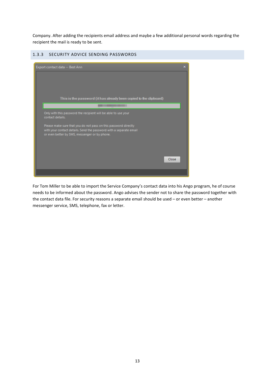Company. After adding the recipients email address and maybe a few additional personal words regarding the recipient the mail is ready to be sent.

#### <span id="page-12-0"></span>1.3.3 SECURITY ADVICE SENDING PASSWORDS



For Tom Miller to be able to import the Service Company's contact data into his Ango program, he of course needs to be informed about the password. Ango advises the sender not to share the password together with the contact data file. For security reasons a separate email should be used – or even better – another messenger service, SMS, telephone, fax or letter.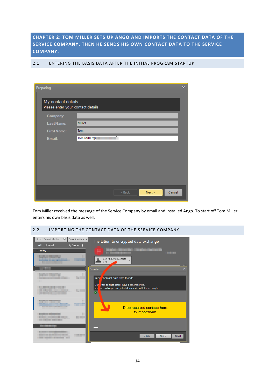<span id="page-13-0"></span>**CHAPTER 2: TOM MILLER SETS UP ANGO AND IMPORTS THE CONTACT DATA OF THE SERVICE COMPANY. THEN HE SENDS HIS OWN CONTACT DATA TO THE SERVICE COMPANY.**

| Preparing                                               |                            | $\boldsymbol{\mathsf{x}}$ |
|---------------------------------------------------------|----------------------------|---------------------------|
| My contact details<br>Please enter your contact details |                            |                           |
| Company:                                                |                            |                           |
| Last Name:                                              | <b>Miller</b>              |                           |
| <b>First Name:</b>                                      | <b>Tom</b>                 |                           |
| Email:                                                  | τ<br>Tom.Miller@           |                           |
|                                                         |                            |                           |
|                                                         |                            |                           |
|                                                         |                            |                           |
|                                                         |                            |                           |
|                                                         |                            |                           |
|                                                         | Cancel<br>Next »<br>« Back |                           |

<span id="page-13-1"></span>2.1 ENTERING THE BASIS DATA AFTER THE INITIAL PROGRAM STARTUP

Tom Miller received the message of the Service Company by email and installed Ango. To start off Tom Miller enters his own basis data as well.

# <span id="page-13-2"></span>2.2 IMPORTING THE CONTACT DATA OF THE SERVICE COMPANY

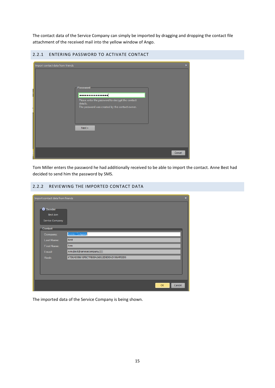The contact data of the Service Company can simply be imported by dragging and dropping the contact file attachment of the received mail into the yellow window of Ango.

<span id="page-14-0"></span>

| 2.2.1 ENTERING PASSWORD TO ACTIVATE CONTACT                                                                                                                                                      |  |
|--------------------------------------------------------------------------------------------------------------------------------------------------------------------------------------------------|--|
| $\pmb{\times}$<br>Import contact data from friends<br>Password-<br>.<br>Please enter the password to decrypt the contact<br>details.<br>The password was created by the contact owner.<br>Next » |  |
| Cancel                                                                                                                                                                                           |  |

Tom Miller enters the password he had additionally received to be able to import the contact. Anne Best had decided to send him the password by SMS.

#### <span id="page-14-1"></span>2.2.2 REVIEWING THE IMPORTED CONTACT DATA

| Import contact data from friends               | $\pmb{\times}$                           |
|------------------------------------------------|------------------------------------------|
| <b>O</b> Sender<br>Best Ann<br>Service Company |                                          |
| Contact                                        |                                          |
| Company:                                       | <b>Service Company</b>                   |
| Last Name:                                     | <b>Best</b>                              |
| <b>First Name:</b>                             | Ann                                      |
| Email:                                         | Ann.Best@servicecompany.                 |
| Hash:                                          | 67DEAD0861EF8C7FB89A26D22D8D0AD198AFEED5 |
|                                                |                                          |
|                                                |                                          |
|                                                |                                          |
|                                                | OK<br>Cancel                             |

The imported data of the Service Company is being shown.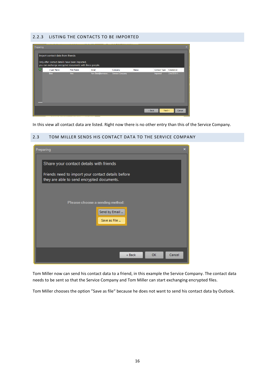#### <span id="page-15-0"></span>2.2.3 LISTING THE CONTACTS TO BE IMPORTED

| Preparing |                                                                                    |                                                         |                   |                 |               |              |            | $\overline{\mathbf{x}}$ |
|-----------|------------------------------------------------------------------------------------|---------------------------------------------------------|-------------------|-----------------|---------------|--------------|------------|-------------------------|
|           | Import contact data from friends<br>Only after contact details have been imported, | you can exchange encrypted documents with these people. |                   |                 |               |              |            |                         |
| A         | v Last Name                                                                        | <b>First Name</b>                                       | Email             | Company         | <b>Status</b> | Contact Type | Created on |                         |
|           | Best                                                                               | Ann                                                     | Ann.Best@servicec | Service Company |               | Imported     | 2/4/2019 1 |                         |
|           |                                                                                    |                                                         |                   |                 | « Back        | Next »       | Cancel     |                         |

In this view all contact data are listed. Right now there is no other entry than this of the Service Company.

#### <span id="page-15-1"></span>2.3 TOM MILLER SENDS HIS CONTACT DATA TO THE SERVICE COMPANY

| Preparing<br>×                                                                                                                              |
|---------------------------------------------------------------------------------------------------------------------------------------------|
| Share your contact details with friends<br>Friends need to import your contact details before<br>they are able to send encrypted documents. |
| Please choose a sending method:                                                                                                             |
| Send by Email<br>Save as File                                                                                                               |
| Cancel<br>« Back<br>OK                                                                                                                      |

Tom Miller now can send his contact data to a friend, in this example the Service Company. The contact data needs to be sent so that the Service Company and Tom Miller can start exchanging encrypted files.

Tom Miller chooses the option "Save as file" because he does not want to send his contact data by Outlook.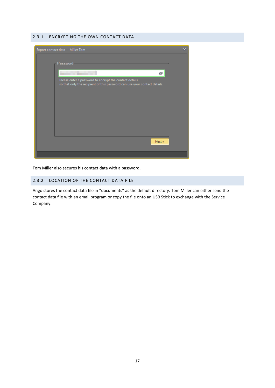#### <span id="page-16-0"></span>2.3.1 ENCRYPTING THE OWN CONTACT DATA



Tom Miller also secures his contact data with a password.

# <span id="page-16-1"></span>2.3.2 LOCATION OF THE CONTACT DATA FILE

Ango stores the contact data file in "documents" as the default directory. Tom Miller can either send the contact data file with an email program or copy the file onto an USB Stick to exchange with the Service Company.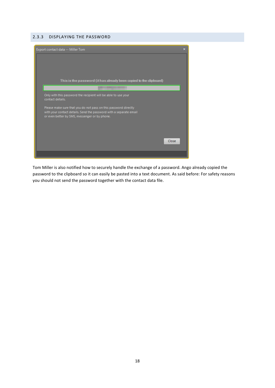#### <span id="page-17-0"></span>2.3.3 DISPLAYING THE PASSWORD



Tom Miller is also notified how to securely handle the exchange of a password. Ango already copied the password to the clipboard so it can easily be pasted into a text document. As said before: For safety reasons you should not send the password together with the contact data file.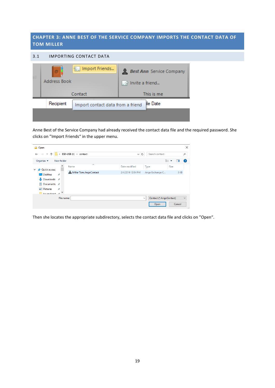# <span id="page-18-0"></span>**CHAPTER 3: ANNE BEST OF THE SERVICE COMPANY IMPORTS THE CONTACT DATA OF TOM MILLER**

#### <span id="page-18-1"></span>3.1 IMPORTING CONTACT DATA

| ø<br>Address Book | 怜.<br>Import Friends              | <b>Best Ann</b> Service Company<br>. ∌ Invite a friend |
|-------------------|-----------------------------------|--------------------------------------------------------|
|                   | Contact                           | This is me                                             |
| Recipient         | Import contact data from a friend | lle Date                                               |
|                   |                                   |                                                        |

Anne Best of the Service Company had already received the contact data file and the required password. She clicks on "Import Friends" in the upper menu.

| <b>D</b> Open                                                             |               |                        |                   |                   |                |                         |      |        | $\times$     |
|---------------------------------------------------------------------------|---------------|------------------------|-------------------|-------------------|----------------|-------------------------|------|--------|--------------|
| > ESD-USB (l:) > contact<br>$\leftarrow$<br>$\checkmark$<br>$\rightarrow$ |               |                        | Ō<br>$\checkmark$ |                   | Search contact |                         |      | ٩      |              |
| Organize $\blacktriangledown$                                             | New folder    |                        |                   |                   |                |                         | 距 ▼  | ш      | $\bullet$    |
| <b>A</b> Quick access<br>$\checkmark$                                     |               | ∧<br>Name              |                   | Date modified     | Type           |                         | Size |        |              |
| Desktop                                                                   | $\mathcal{R}$ | Miller Tom.AngoContact |                   | 2/4/2019 12:54 PM |                | Ango Exchange C         |      | 3 KB   |              |
| $\overline{\phantom{a}}$ Downloads $\overline{\phantom{a}}$               |               |                        |                   |                   |                |                         |      |        |              |
| 葟<br>Documents *                                                          |               |                        |                   |                   |                |                         |      |        |              |
| $\equiv$ Pictures<br><b>Informationed</b>                                 | $\mathcal{R}$ |                        |                   |                   |                |                         |      |        |              |
|                                                                           | File name:    |                        |                   |                   | $\checkmark$   | Contact (*.AngoContact) |      |        | $\checkmark$ |
|                                                                           |               |                        |                   |                   |                | Open                    |      | Cancel | -2           |

Then she locates the appropriate subdirectory, selects the contact data file and clicks on "Open".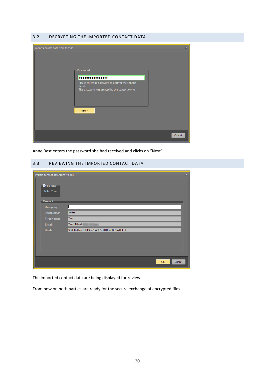#### <span id="page-19-0"></span>3.2 DECRYPTING THE IMPORTED CONTACT DATA



Anne Best enters the password she had received and clicks on "Next".

#### <span id="page-19-1"></span>3.3 REVIEWING THE IMPORTED CONTACT DATA

| Import contact data from friends         |                                          | $\mathbf x$ |
|------------------------------------------|------------------------------------------|-------------|
| <b>O</b> Sender<br>Miller Tom<br>Contact |                                          |             |
| Company:                                 |                                          |             |
| Last Name:                               | Miller                                   |             |
| <b>First Name:</b>                       | Tom                                      |             |
| Email:                                   | Tom.Miller@:<br>--                       |             |
| Hash:                                    | 9B06B5F6947BDE9F429ADB5EEDD04BBE9A78BEF4 |             |
|                                          |                                          |             |
|                                          |                                          |             |
|                                          |                                          |             |
|                                          |                                          |             |
|                                          | OK<br>Cancel                             |             |

The imported contact data are being displayed for review.

From now on both parties are ready for the secure exchange of encrypted files.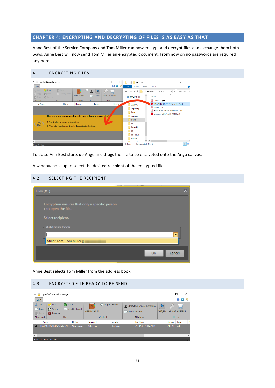# <span id="page-20-0"></span>**CHAPTER 4: ENCRYPTING AND DECRYPTING OF FILES IS AS EASY AS THAT**

Anne Best of the Service Company and Tom Miller can now encrypt and decrypt files and exchange them both ways. Anne Best will now send Tom Miller an encrypted document. From now on no passwords are required anymore.

#### <span id="page-20-1"></span>4.1 ENCRYPTING FILES

| $\overline{\mathbf{v}}$<br><b>Start</b>                        | proDAD Ango Exchange                   |                                                 |                                                                        |             |         | $\times$<br>ω                    | File         | Home                                                      | $=$ DOCS<br>Share      | View                                                                                                                               |                                     | п | $\times$<br>Q<br>$\checkmark$ |
|----------------------------------------------------------------|----------------------------------------|-------------------------------------------------|------------------------------------------------------------------------|-------------|---------|----------------------------------|--------------|-----------------------------------------------------------|------------------------|------------------------------------------------------------------------------------------------------------------------------------|-------------------------------------|---|-------------------------------|
| $a_0$ Cut<br>r <sup>e</sup> Cop<br><b>P</b> Paste<br>Clipboard | o Load<br>P Save<br>$\oplus$<br>Remove | <b>C</b> Show<br>M Send by Email<br>File        | 位<br><b>Address Book</b><br>Contact                                    | $\Box$<br>T | Options | <b>Unlock Upgrade</b><br>License | $\leftarrow$ | $\checkmark$<br>$\mathbb{S}$ ESD-USB (I:)                 | $\,$<br>$\wedge$       | ESD-USB (l:) > DOCS<br>Name<br>F7256712.pdf                                                                                        | $\sim$ 0<br>$\widehat{\phantom{a}}$ |   | Search D                      |
| v Name                                                         |                                        | <b>Status</b>                                   | Recipient<br>The easy and convenient way to encrypt and decrypt files! |             | Sender  | File Date.                       |              | ANGO_2<br>ango_eng<br>boot<br>contact<br><b>DOCS</b>      |                        | Total RA324519-305-9529825-7246715.pdf<br>137952.pdf<br>mail invoice_64179614757420553073.pdf<br>pol proposal_2016043235-41223.pdf |                                     |   |                               |
|                                                                |                                        | (1) Drop files here to encrypt or decrypt them. | (2) Afterwards, these files can simply be dragged to other locations.  |             |         |                                  |              | efi<br>Kontakt<br><b>PST</b><br><b>PST_NEU</b><br>sources |                        | $\epsilon$                                                                                                                         |                                     |   | $\mathbf{r}$                  |
| $\epsilon$<br>Files: 0 Size:                                   |                                        |                                                 |                                                                        |             |         |                                  | 5 items      | ----                                                      | 1 item selected 215 KB |                                                                                                                                    |                                     |   | 阻目                            |

To do so Ann Best starts up Ango and drags the file to be encrypted onto the Ango canvas.

A window pops up to select the desired recipient of the encrypted file.

#### <span id="page-20-2"></span>4.2 SELECTING THE RECIPIENT

| Files (#1)                                                           | ×            |
|----------------------------------------------------------------------|--------------|
| Encryption ensures that only a specific person<br>can open the file. |              |
| Select recipient.                                                    |              |
| <b>Address Book</b>                                                  |              |
|                                                                      |              |
| Miller Tom, Tom.Miller@                                              |              |
|                                                                      | OK<br>Cancel |

Anne Best selects Tom Miller from the address book.

#### <span id="page-20-3"></span>4.3 ENCRYPTED FILE READY TO BE SEND

| $\overline{v}$ .<br>Start                                          | proDAD Ango Exchange                                                   |               |                   |                  |                                                      |                     |                  | ×<br>□<br>Ø<br>$\bullet$ |               |
|--------------------------------------------------------------------|------------------------------------------------------------------------|---------------|-------------------|------------------|------------------------------------------------------|---------------------|------------------|--------------------------|---------------|
| $\frac{1}{60}$ Cut<br><b>T</b> <sup>9</sup> Copy<br><b>『</b> Paste | <b>C</b> Show<br>Load<br><b>M</b> Save<br>$\bowtie$<br><b>C</b> Remove | Send by Email | Address Book      | ☆ Import Friends | <b>Rest Ann</b> Service Company<br>√ Invite a friend | 磅<br><b>Options</b> |                  | <b>Unlock Upgrade</b>    |               |
| Clipboard                                                          | File                                                                   |               |                   | Contact          | This is me                                           |                     |                  | License                  |               |
| v Name                                                             |                                                                        | <b>Status</b> | Recipient         | Sender           | <b>File Date</b>                                     |                     | <b>File Size</b> | Type                     | P             |
| н                                                                  | RA324519-305-9529825-724                                               | Was encryp    | <b>Miller Tom</b> | Best Ann         | 2/10/2017 10:22 PM                                   |                     | 215 KB           | pdf                      |               |
|                                                                    |                                                                        |               |                   |                  |                                                      |                     |                  |                          |               |
| $\overline{\phantom{a}}$                                           |                                                                        |               |                   |                  |                                                      |                     |                  |                          | $\rightarrow$ |
| Files: 1                                                           | Size: 215 KB                                                           |               |                   |                  |                                                      |                     |                  |                          | -38           |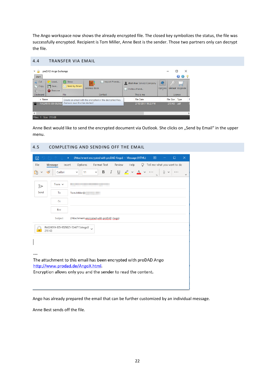The Ango workspace now shows the already encrypted file. The closed key symbolizes the status, the file was successfully encrypted. Recipient is Tom Miller, Anne Best is the sender. Those two partners only can decrypt the file.

#### <span id="page-21-0"></span>4.4 TRANSFER VIA EMAIL

| 로 모<br>Start                                                 | proDAD Ango Exchange                     |                                             |                                                            |                                                                  |               |                  | П<br>×<br>$\bullet$<br>$\bigcirc$ |   |
|--------------------------------------------------------------|------------------------------------------|---------------------------------------------|------------------------------------------------------------|------------------------------------------------------------------|---------------|------------------|-----------------------------------|---|
| $\frac{1}{\sigma_{00}}$ Cut<br>$\Box$ Copy<br><b>己</b> Paste | Load<br><b>P</b> Save<br><b>B</b> Remove | <b>C</b> Show<br>Send by Email<br>$\bowtie$ | € Import Friends<br>$\Omega$<br>Address Book               | <b>Rest Ann</b> Service Company<br>$\frac{1}{2}$ Invite a friend | ණි<br>Options |                  | <b>Unlock Upgrade</b>             |   |
| Clipboard                                                    |                                          | File                                        | This is me<br>Contact                                      |                                                                  |               |                  | License                           |   |
| v Name                                                       |                                          |                                             | Create an email with the encrypted or the decrypted files. | <b>File Date</b>                                                 |               | <b>File Size</b> | Type                              |   |
| н                                                            | RA324519-305-952982                      | Outlook must first be started!              | 2/10/2017 10:22 PM                                         |                                                                  |               |                  | pdf                               |   |
|                                                              |                                          |                                             |                                                            |                                                                  |               |                  |                                   |   |
| $\overline{\phantom{a}}$                                     |                                          |                                             |                                                            |                                                                  |               |                  |                                   | ⋗ |
| Files:                                                       | Size: 215 KB                             |                                             |                                                            |                                                                  |               |                  |                                   | Æ |
|                                                              |                                          |                                             |                                                            |                                                                  |               |                  |                                   |   |

Anne Best would like to send the encrypted document via Outlook. She clicks on "Send by Email" in the upper menu.

<span id="page-21-1"></span>

| 4.5           |                   | COMPLETING AND SENDING OFF THE EMAIL                                                                |          |
|---------------|-------------------|-----------------------------------------------------------------------------------------------------|----------|
| $\boxplus$    | Ψ                 | $\Box$<br>(Attachment encrypted with proDAD Ango) - Message (HTML)<br>囨                             | $\times$ |
| File          | Message<br>Insert | Tell me what you want to do<br>Options<br>Format Text<br>Review<br>Help<br>Ω                        |          |
|               | Calibri           | $\underline{\cup}$ $\angle$ $\vee$ $\underline{A}$<br>$\cal I$<br>В<br>11<br>v<br>v<br>Гs.          | ₩        |
| $\Rightarrow$ | From $\sim$       |                                                                                                     |          |
| Send          | To                | Tom.Miller@:                                                                                        |          |
|               | Cc                |                                                                                                     |          |
|               | Bcc               |                                                                                                     |          |
|               | Subject           | (Attachment encrypted with proDAD Ango)                                                             |          |
| $\mathbf{R}$  | 219 KB            | RA324519-305-9529825-7246715.AngoX                                                                  |          |
|               |                   |                                                                                                     |          |
|               |                   |                                                                                                     |          |
|               |                   |                                                                                                     |          |
|               |                   | The attachment to this email has been encrypted with proDAD Ango<br>http://www.prodad.de/AngoX.html |          |
|               |                   | Encryption allows only you and the sender to read the content.                                      |          |
|               |                   |                                                                                                     |          |
|               |                   |                                                                                                     |          |

Ango has already prepared the email that can be further customized by an individual message.

Anne Best sends off the file.